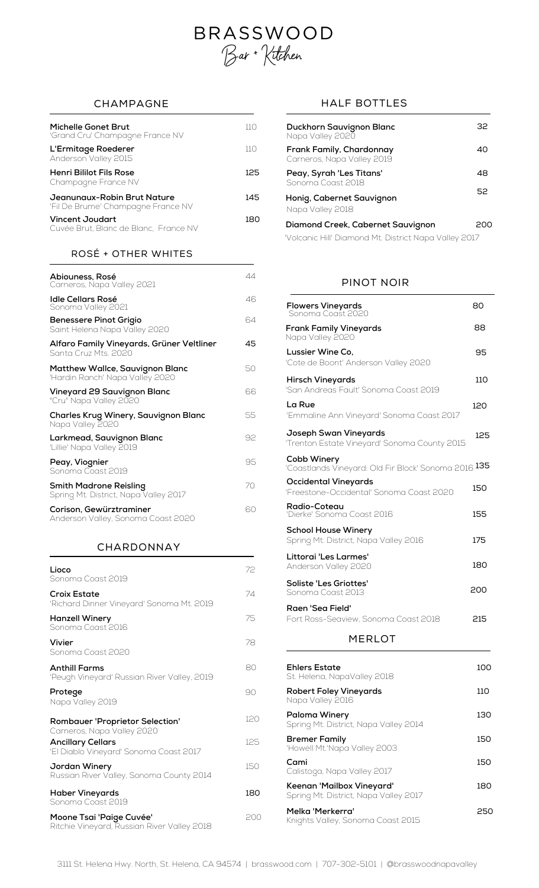# **BRASSWOOD** Bar + Kitchen

| Michelle Gonet Brut<br>'Grand Cru' Champagne France NV            | 11 O |
|-------------------------------------------------------------------|------|
| L'Ermitage Roederer<br>Anderson Valley 2015                       | 11 O |
| Henri Bililot Fils Rose<br>Champagne France NV                    | 125  |
| Jeanunaux-Robin Brut Nature<br>'Fil De Brume' Champagne France NV | 145  |
| <b>Vincent Joudart</b><br>Cuvée Brut, Blanc de Blanc, France NV   | 180  |

# ROSÉ + OTHER WHITES

| Abiouness, Rosé<br>Carneros, Napa Valley 2021                      | 44 |
|--------------------------------------------------------------------|----|
| Idle Cellars Rosé<br>Sonoma Valley 2021                            | 46 |
| Benessere Pinot Grigio<br>Saint Helena Napa Valley 2020            | 64 |
| Alfaro Family Vineyards, Grüner Veltliner<br>Santa Cruz Mts. 2020  | 45 |
| Matthew Wallce, Sauvignon Blanc<br>'Hardin Ranch' Napa Valley 2020 | 50 |
| Vineyard 29 Sauvignon Blanc<br>"Cru" Napa Valley 2020              | 66 |
| Charles Krug Winery, Sauvignon Blanc<br>Napa Valley 2020           | 55 |
| Larkmead, Sauvignon Blanc<br>'Lillie' Napa Valley 2019             | 92 |
| Peay, Viognier<br>Sonoma Coast 2019                                | 95 |
| Smith Madrone Reisling<br>Spring Mt. District, Napa Valley 2017    | 70 |
| Corison, Gewürztraminer<br>Anderson Valley, Sonoma Coast 2020      | 60 |

### CHARDONNAY

| Lioco<br>Sonoma Coast 2019                                              | 72  |
|-------------------------------------------------------------------------|-----|
| <b>Croix Estate</b><br>'Richard Dinner Vineyard' Sonoma Mt. 2019        | 74  |
| <b>Hanzell Winery</b><br>Sonoma Coast 2016                              | 75  |
| Vivier<br>Sonoma Coast 2020                                             | 78  |
| <b>Anthill Farms</b><br>'Peugh Vineyard' Russian River Valley, 2019     | 80  |
| Protege<br>Napa Valley 2019                                             | 90  |
| <b>Rombauer 'Proprietor Selection'</b><br>Carneros, Napa Valley 2020    | 120 |
| <b>Ancillary Cellars</b><br>'El Diablo Vineyard' Sonoma Coast 2017      | 125 |
| Jordan Winery<br>Russian River Valley, Sonoma County 2014               | 150 |
| Haber Vineyards<br>Sonoma Coast 2019                                    | 180 |
| Moone Tsai 'Paige Cuvée'<br>Ritchie Vineyard, Russian River Valley 2018 | 200 |

# CHAMPAGNE HALF BOTTLES

| 110 | Duckhorn Sauvignon Blanc<br>Napa Valley 2020           | 32  |
|-----|--------------------------------------------------------|-----|
| 110 | Frank Family, Chardonnay<br>Carneros, Napa Valley 2019 | 40  |
| 125 | Peay, Syrah 'Les Titans'<br>Sonoma Coast 2018          | 48  |
| 145 | Honig, Cabernet Sauvignon<br>Napa Valley 2018          | 52  |
| 180 | Diamond Creek, Cabernet Sauvignon                      | 200 |
|     | "Volcanic Hill" Diamond Mt. District Napa Valley 2017  |     |
|     |                                                        |     |

## PINOT NOIR

| <b>Flowers Vineyards</b><br>Sonoma Coast 2020                              | 80  |
|----------------------------------------------------------------------------|-----|
| <b>Frank Family Vineyards</b><br>Napa Valley 2020                          | 88  |
| Lussier Wine Co.<br>'Cote de Boont' Anderson Valley 2020                   | 95  |
| <b>Hirsch Vineyards</b><br>'San Andreas Fault' Sonoma Coast 2019           | 110 |
| La Rue<br>'Emmaline Ann Vineyard' Sonoma Coast 2017                        | 120 |
| Joseph Swan Vineyards<br>'Trenton Estate Vineyard' Sonoma County 2015      | 125 |
| Cobb Winery<br>'Coastlands Vineyard: Old Fir Block' Sonoma 2016 <b>135</b> |     |
| Occidental Vineyards<br>'Freestone-Occidental' Sonoma Coast 2020           | 150 |
| Radio-Coteau<br>'Dierke' Sonoma Coast 2016                                 | 155 |
| <b>School House Winery</b><br>Spring Mt. District, Napa Valley 2016        | 175 |
| Littorai 'Les Larmes'<br>Anderson Valley 2020                              | 180 |
| Soliste 'Les Griottes'<br>Sonoma Coast 2013                                | 200 |
| Raen 'Sea Field'<br>Fort Ross-Seaview, Sonoma Coast 2018                   | 215 |
| <b>MERLOT</b>                                                              |     |
| Ehlers Estate<br>St. Helena, NapaValley 2018                               | 100 |
| <b>Robert Foley Vineyards</b><br>Napa Valley 2016                          | 110 |
| Paloma Winery<br>Spring Mt. District, Napa Valley 2014                     | 130 |
| <b>Bremer Family</b><br>'Howell Mt.'Napa Valley 2003                       | 150 |
| Cami<br>Calistoga, Napa Valley 2017                                        | 150 |
| Keenan 'Mailbox Vineyard'<br>Spring Mt. District, Napa Valley 2017         | 180 |

**Melka 'Merkerra'** <sup>250</sup> **<sup>M</sup>** Knights Valley, Sonoma Coast <sup>2015</sup>